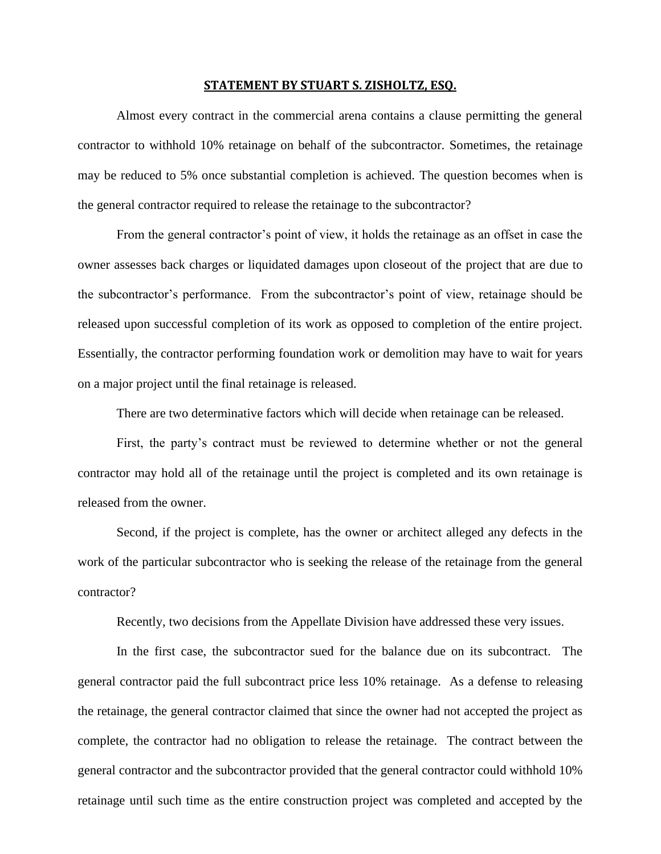## **STATEMENT BY STUART S. ZISHOLTZ, ESQ.**

Almost every contract in the commercial arena contains a clause permitting the general contractor to withhold 10% retainage on behalf of the subcontractor. Sometimes, the retainage may be reduced to 5% once substantial completion is achieved. The question becomes when is the general contractor required to release the retainage to the subcontractor?

From the general contractor's point of view, it holds the retainage as an offset in case the owner assesses back charges or liquidated damages upon closeout of the project that are due to the subcontractor's performance. From the subcontractor's point of view, retainage should be released upon successful completion of its work as opposed to completion of the entire project. Essentially, the contractor performing foundation work or demolition may have to wait for years on a major project until the final retainage is released.

There are two determinative factors which will decide when retainage can be released.

First, the party's contract must be reviewed to determine whether or not the general contractor may hold all of the retainage until the project is completed and its own retainage is released from the owner.

Second, if the project is complete, has the owner or architect alleged any defects in the work of the particular subcontractor who is seeking the release of the retainage from the general contractor?

Recently, two decisions from the Appellate Division have addressed these very issues.

 In the first case, the subcontractor sued for the balance due on its subcontract. The general contractor paid the full subcontract price less 10% retainage. As a defense to releasing the retainage, the general contractor claimed that since the owner had not accepted the project as complete, the contractor had no obligation to release the retainage. The contract between the general contractor and the subcontractor provided that the general contractor could withhold 10% retainage until such time as the entire construction project was completed and accepted by the